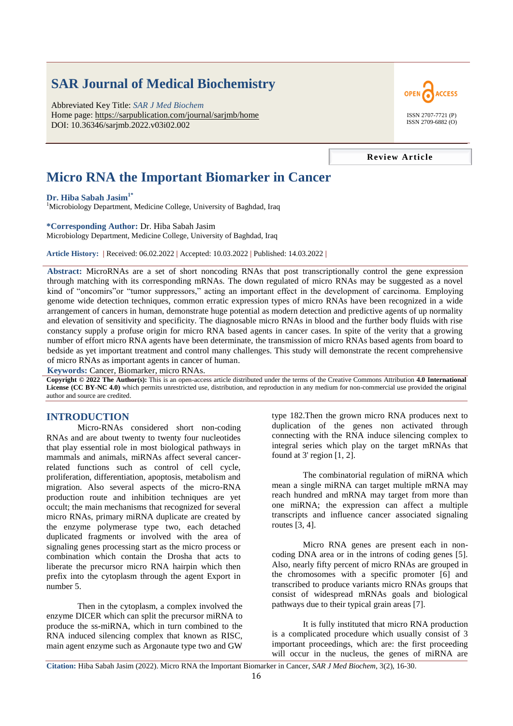# **SAR Journal of Medical Biochemistry**

Abbreviated Key Title: *SAR J Med Biochem* Home page: https://sarpublication.com/journal/sarjmb/home DOI: 10.36346/sarjmb.2022.v03i02.002



**Review Article**

# **Micro RNA the Important Biomarker in Cancer**

**Dr. Hiba Sabah Jasim1\***

<sup>1</sup>Microbiology Department, Medicine College, University of Baghdad, Iraq

## **\*Corresponding Author:** Dr. Hiba Sabah Jasim

Microbiology Department, Medicine College, University of Baghdad, Iraq

**Article History: |** Received: 06.02.2022 **|** Accepted: 10.03.2022 **|** Published: 14.03.2022 **|**

**Abstract:** MicroRNAs are a set of short noncoding RNAs that post transcriptionally control the gene expression through matching with its corresponding mRNAs. The down regulated of micro RNAs may be suggested as a novel kind of "oncomirs" or "tumor suppressors," acting an important effect in the development of carcinoma. Employing genome wide detection techniques, common erratic expression types of micro RNAs have been recognized in a wide arrangement of cancers in human, demonstrate huge potential as modern detection and predictive agents of up normality and elevation of sensitivity and specificity. The diagnosable micro RNAs in blood and the further body fluids with rise constancy supply a profuse origin for micro RNA based agents in cancer cases. In spite of the verity that a growing number of effort micro RNA agents have been determinate, the transmission of micro RNAs based agents from board to bedside as yet important treatment and control many challenges. This study will demonstrate the recent comprehensive of micro RNAs as important agents in cancer of human.

**Keywords:** Cancer, Biomarker, micro RNAs.

**Copyright © 2022 The Author(s):** This is an open-access article distributed under the terms of the Creative Commons Attribution **4.0 International License (CC BY-NC 4.0)** which permits unrestricted use, distribution, and reproduction in any medium for non-commercial use provided the original author and source are credited.

# **INTRODUCTION**

Micro-RNAs considered short non-coding RNAs and are about twenty to twenty four nucleotides that play essential role in most biological pathways in mammals and animals, miRNAs affect several cancerrelated functions such as control of cell cycle, proliferation, differentiation, apoptosis, metabolism and migration. Also several aspects of the micro-RNA production route and inhibition techniques are yet occult; the main mechanisms that recognized for several micro RNAs, primary miRNA duplicate are created by the enzyme polymerase type two, each detached duplicated fragments or involved with the area of signaling genes processing start as the micro process or combination which contain the Drosha that acts to liberate the precursor micro RNA hairpin which then prefix into the cytoplasm through the agent Export in number 5.

Then in the cytoplasm, a complex involved the enzyme DICER which can split the precursor miRNA to produce the ss-miRNA, which in turn combined to the RNA induced silencing complex that known as RISC, main agent enzyme such as Argonaute type two and GW

type 182.Then the grown micro RNA produces next to duplication of the genes non activated through connecting with the RNA induce silencing complex to integral series which play on the target mRNAs that found at 3' region [1, 2].

The combinatorial regulation of miRNA which mean a single miRNA can target multiple mRNA may reach hundred and mRNA may target from more than one miRNA; the expression can affect a multiple transcripts and influence cancer associated signaling routes [3, 4].

Micro RNA genes are present each in noncoding DNA area or in the introns of coding genes [5]. Also, nearly fifty percent of micro RNAs are grouped in the chromosomes with a specific promoter [6] and transcribed to produce variants micro RNAs groups that consist of widespread mRNAs goals and biological pathways due to their typical grain areas [7].

It is fully instituted that micro RNA production is a complicated procedure which usually consist of 3 important proceedings, which are: the first proceeding will occur in the nucleus, the genes of miRNA are

**Citation:** Hiba Sabah Jasim (2022). Micro RNA the Important Biomarker in Cancer, *SAR J Med Biochem*, 3(2), 16-30.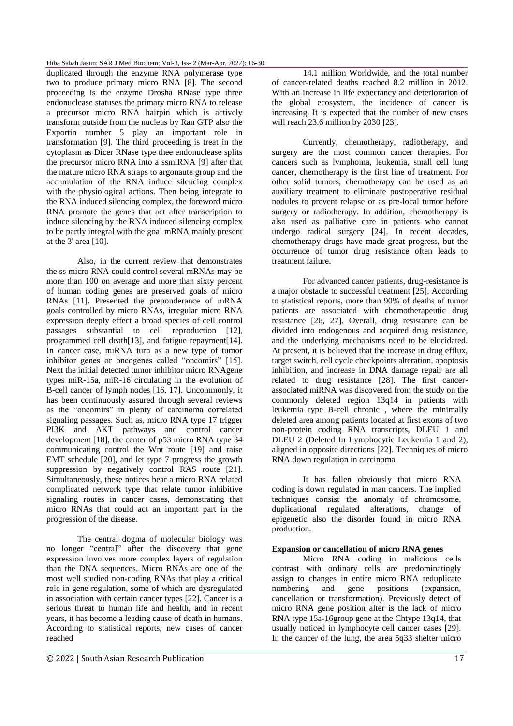duplicated through the enzyme RNA polymerase type two to produce primary micro RNA [8]. The second proceeding is the enzyme Drosha RNase type three endonuclease statuses the primary micro RNA to release a precursor micro RNA hairpin which is actively transform outside from the nucleus by Ran GTP also the Exportin number 5 play an important role in transformation [9]. The third proceeding is treat in the cytoplasm as Dicer RNase type thee endonuclease splits the precursor micro RNA into a ssmiRNA [9] after that the mature micro RNA straps to argonaute group and the accumulation of the RNA induce silencing complex with the physiological actions. Then being integrate to the RNA induced silencing complex, the foreword micro RNA promote the genes that act after transcription to induce silencing by the RNA induced silencing complex to be partly integral with the goal mRNA mainly present at the 3' area [10].

Also, in the current review that demonstrates the ss micro RNA could control several mRNAs may be more than 100 on average and more than sixty percent of human coding genes are preserved goals of micro RNAs [11]. Presented the preponderance of mRNA goals controlled by micro RNAs, irregular micro RNA expression deeply effect a broad species of cell control passages substantial to cell reproduction [12], programmed cell death[13], and fatigue repayment[14]. In cancer case, miRNA turn as a new type of tumor inhibitor genes or oncogenes called "oncomirs" [15]. Next the initial detected tumor inhibitor micro RNAgene types miR-15a, miR-16 circulating in the evolution of B-cell cancer of lymph nodes [16, 17]. Uncommonly, it has been continuously assured through several reviews as the "oncomirs" in plenty of carcinoma correlated signaling passages. Such as, micro RNA type 17 trigger PI3K and AKT pathways and control cancer development [18], the center of p53 micro RNA type 34 communicating control the Wnt route [19] and raise EMT schedule [20], and let type 7 progress the growth suppression by negatively control RAS route [21]. Simultaneously, these notices bear a micro RNA related complicated network type that relate tumor inhibitive signaling routes in cancer cases, demonstrating that micro RNAs that could act an important part in the progression of the disease.

The central dogma of molecular biology was no longer "central" after the discovery that gene expression involves more complex layers of regulation than the DNA sequences. Micro RNAs are one of the most well studied non-coding RNAs that play a critical role in gene regulation, some of which are dysregulated in association with certain cancer types [22]. Cancer is a serious threat to human life and health, and in recent years, it has become a leading cause of death in humans. According to statistical reports, new cases of cancer reached

14.1 million Worldwide, and the total number of cancer-related deaths reached 8.2 million in 2012. With an increase in life expectancy and deterioration of the global ecosystem, the incidence of cancer is increasing. It is expected that the number of new cases will reach 23.6 million by 2030 [23].

Currently, chemotherapy, radiotherapy, and surgery are the most common cancer therapies. For cancers such as lymphoma, leukemia, small cell lung cancer, chemotherapy is the first line of treatment. For other solid tumors, chemotherapy can be used as an auxiliary treatment to eliminate postoperative residual nodules to prevent relapse or as pre-local tumor before surgery or radiotherapy. In addition, chemotherapy is also used as palliative care in patients who cannot undergo radical surgery [24]. In recent decades, chemotherapy drugs have made great progress, but the occurrence of tumor drug resistance often leads to treatment failure.

For advanced cancer patients, drug-resistance is a major obstacle to successful treatment [25]. According to statistical reports, more than 90% of deaths of tumor patients are associated with chemotherapeutic drug resistance [26, 27]. Overall, drug resistance can be divided into endogenous and acquired drug resistance, and the underlying mechanisms need to be elucidated. At present, it is believed that the increase in drug efflux, target switch, cell cycle checkpoints alteration, apoptosis inhibition, and increase in DNA damage repair are all related to drug resistance [28]. The first cancerassociated miRNA was discovered from the study on the commonly deleted region 13q14 in patients with leukemia type B-cell chronic , where the minimally deleted area among patients located at first exons of two non-protein coding RNA transcripts, DLEU 1 and DLEU 2 (Deleted In Lymphocytic Leukemia 1 and 2), aligned in opposite directions [22]. Techniques of micro RNA down regulation in carcinoma

It has fallen obviously that micro RNA coding is down regulated in man cancers. The implied techniques consist the anomaly of chromosome, duplicational regulated alterations, change of epigenetic also the disorder found in micro RNA production.

#### **Expansion or cancellation of micro RNA genes**

Micro RNA coding in malicious cells contrast with ordinary cells are predominatingly assign to changes in entire micro RNA reduplicate numbering and gene positions (expansion, cancellation or transformation). Previously detect of micro RNA gene position alter is the lack of micro RNA type 15a-16group gene at the Chtype 13q14, that usually noticed in lymphocyte cell cancer cases [29]. In the cancer of the lung, the area 5q33 shelter micro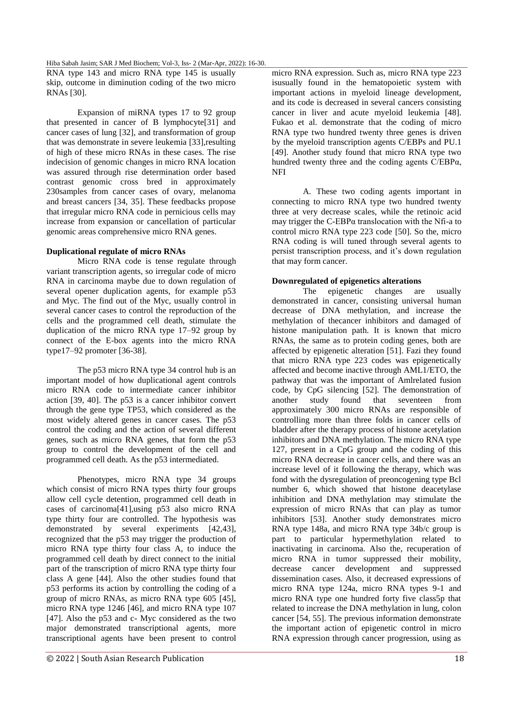RNA type 143 and micro RNA type 145 is usually skip, outcome in diminution coding of the two micro RNAs [30].

Expansion of miRNA types 17 to 92 group that presented in cancer of B lymphocyte[31] and cancer cases of lung [32], and transformation of group that was demonstrate in severe leukemia [33],resulting of high of these micro RNAs in these cases. The rise indecision of genomic changes in micro RNA location was assured through rise determination order based contrast genomic cross bred in approximately 230samples from cancer cases of ovary, melanoma and breast cancers [34, 35]. These feedbacks propose that irregular micro RNA code in pernicious cells may increase from expansion or cancellation of particular genomic areas comprehensive micro RNA genes.

## **Duplicational regulate of micro RNAs**

Micro RNA code is tense regulate through variant transcription agents, so irregular code of micro RNA in carcinoma maybe due to down regulation of several opener duplication agents, for example p53 and Myc. The find out of the Myc, usually control in several cancer cases to control the reproduction of the cells and the programmed cell death, stimulate the duplication of the micro RNA type 17–92 group by connect of the E-box agents into the micro RNA type17–92 promoter [36-38].

The p53 micro RNA type 34 control hub is an important model of how duplicational agent controls micro RNA code to intermediate cancer inhibitor action [39, 40]. The p53 is a cancer inhibitor convert through the gene type TP53, which considered as the most widely altered genes in cancer cases. The p53 control the coding and the action of several different genes, such as micro RNA genes, that form the p53 group to control the development of the cell and programmed cell death. As the p53 intermediated.

Phenotypes, micro RNA type 34 groups which consist of micro RNA types thirty four groups allow cell cycle detention, programmed cell death in cases of carcinoma[41],using p53 also micro RNA type thirty four are controlled. The hypothesis was demonstrated by several experiments [42,43], recognized that the p53 may trigger the production of micro RNA type thirty four class A, to induce the programmed cell death by direct connect to the initial part of the transcription of micro RNA type thirty four class A gene [44]. Also the other studies found that p53 performs its action by controlling the coding of a group of micro RNAs, as micro RNA type 605 [45], micro RNA type 1246 [46], and micro RNA type 107 [47]. Also the p53 and c- Myc considered as the two major demonstrated transcriptional agents, more transcriptional agents have been present to control micro RNA expression. Such as, micro RNA type 223 isusually found in the hematopoietic system with important actions in myeloid lineage development, and its code is decreased in several cancers consisting cancer in liver and acute myeloid leukemia [48]. Fukao et al. demonstrate that the coding of micro RNA type two hundred twenty three genes is driven by the myeloid transcription agents C/EBPs and PU.1 [49]. Another study found that micro RNA type two hundred twenty three and the coding agents C/EBPα, NFI

A. These two coding agents important in connecting to micro RNA type two hundred twenty three at very decrease scales, while the retinoic acid may trigger the C-EBP $\alpha$  translocation with the Nfi-a to control micro RNA type 223 code [50]. So the, micro RNA coding is will tuned through several agents to persist transcription process, and it's down regulation that may form cancer.

## **Downregulated of epigenetics alterations**

The epigenetic changes are usually demonstrated in cancer, consisting universal human decrease of DNA methylation, and increase the methylation of thecancer inhibitors and damaged of histone manipulation path. It is known that micro RNAs, the same as to protein coding genes, both are affected by epigenetic alteration [51]. Fazi they found that micro RNA type 223 codes was epigenetically affected and become inactive through AML1/ETO, the pathway that was the important of Amlrelated fusion code, by CpG silencing [52]. The demonstration of another study found that seventeen from approximately 300 micro RNAs are responsible of controlling more than three folds in cancer cells of bladder after the therapy process of histone acetylation inhibitors and DNA methylation. The micro RNA type 127, present in a CpG group and the coding of this micro RNA decrease in cancer cells, and there was an increase level of it following the therapy, which was fond with the dysregulation of preoncogening type Bcl number 6, which showed that histone deacetylase inhibition and DNA methylation may stimulate the expression of micro RNAs that can play as tumor inhibitors [53]. Another study demonstrates micro RNA type 148a, and micro RNA type 34b/c group is part to particular hypermethylation related to inactivating in carcinoma. Also the, recuperation of micro RNA in tumor suppressed their mobility, decrease cancer development and suppressed dissemination cases. Also, it decreased expressions of micro RNA type 124a, micro RNA types 9-1 and micro RNA type one hundred forty five class5p that related to increase the DNA methylation in lung, colon cancer [54, 55]. The previous information demonstrate the important action of epigenetic control in micro RNA expression through cancer progression, using as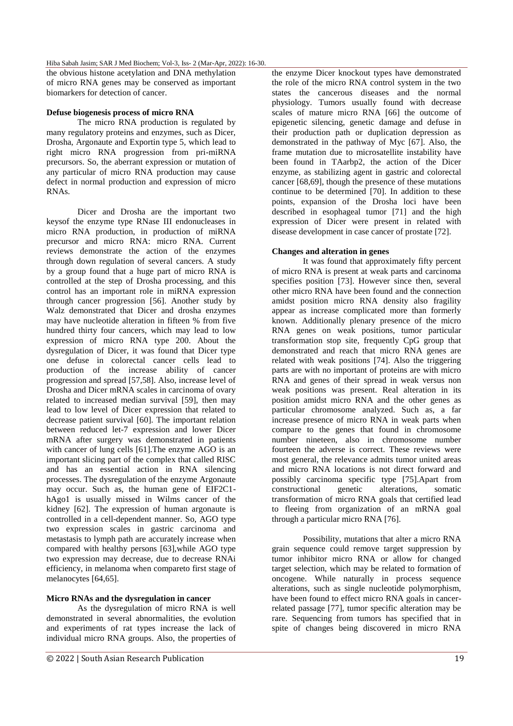the obvious histone acetylation and DNA methylation of micro RNA genes may be conserved as important biomarkers for detection of cancer.

#### **Defuse biogenesis process of micro RNA**

The micro RNA production is regulated by many regulatory proteins and enzymes, such as Dicer, Drosha, Argonaute and Exportin type 5, which lead to right micro RNA progression from pri-miRNA precursors. So, the aberrant expression or mutation of any particular of micro RNA production may cause defect in normal production and expression of micro RNAs.

Dicer and Drosha are the important two keysof the enzyme type RNase III endonucleases in micro RNA production, in production of miRNA precursor and micro RNA: micro RNA. Current reviews demonstrate the action of the enzymes through down regulation of several cancers. A study by a group found that a huge part of micro RNA is controlled at the step of Drosha processing, and this control has an important role in miRNA expression through cancer progression [56]. Another study by Walz demonstrated that Dicer and drosha enzymes may have nucleotide alteration in fifteen % from five hundred thirty four cancers, which may lead to low expression of micro RNA type 200. About the dysregulation of Dicer, it was found that Dicer type one defuse in colorectal cancer cells lead to production of the increase ability of cancer progression and spread [57,58]. Also, increase level of Drosha and Dicer mRNA scales in carcinoma of ovary related to increased median survival [59], then may lead to low level of Dicer expression that related to decrease patient survival [60]. The important relation between reduced let-7 expression and lower Dicer mRNA after surgery was demonstrated in patients with cancer of lung cells [61].The enzyme AGO is an important slicing part of the complex that called RISC and has an essential action in RNA silencing processes. The dysregulation of the enzyme Argonaute may occur. Such as, the human gene of EIF2C1 hAgo1 is usually missed in Wilms cancer of the kidney [62]. The expression of human argonaute is controlled in a cell-dependent manner. So, AGO type two expression scales in gastric carcinoma and metastasis to lymph path are accurately increase when compared with healthy persons [63],while AGO type two expression may decrease, due to decrease RNAi efficiency, in melanoma when compareto first stage of melanocytes [64,65].

# **Micro RNAs and the dysregulation in cancer**

As the dysregulation of micro RNA is well demonstrated in several abnormalities, the evolution and experiments of rat types increase the lack of individual micro RNA groups. Also, the properties of the enzyme Dicer knockout types have demonstrated the role of the micro RNA control system in the two states the cancerous diseases and the normal physiology. Tumors usually found with decrease scales of mature micro RNA [66] the outcome of epigenetic silencing, genetic damage and defuse in their production path or duplication depression as demonstrated in the pathway of Myc [67]. Also, the frame mutation due to microsatellite instability have been found in TAarbp2, the action of the Dicer enzyme, as stabilizing agent in gastric and colorectal cancer [68,69], though the presence of these mutations continue to be determined [70]. In addition to these points, expansion of the Drosha loci have been described in esophageal tumor [71] and the high expression of Dicer were present in related with disease development in case cancer of prostate [72].

#### **Changes and alteration in genes**

It was found that approximately fifty percent of micro RNA is present at weak parts and carcinoma specifies position [73]. However since then, several other micro RNA have been found and the connection amidst position micro RNA density also fragility appear as increase complicated more than formerly known. Additionally plenary presence of the micro RNA genes on weak positions, tumor particular transformation stop site, frequently CpG group that demonstrated and reach that micro RNA genes are related with weak positions [74]. Also the triggering parts are with no important of proteins are with micro RNA and genes of their spread in weak versus non weak positions was present. Real alteration in its position amidst micro RNA and the other genes as particular chromosome analyzed. Such as, a far increase presence of micro RNA in weak parts when compare to the genes that found in chromosome number nineteen, also in chromosome number fourteen the adverse is correct. These reviews were most general, the relevance admits tumor united areas and micro RNA locations is not direct forward and possibly carcinoma specific type [75].Apart from constructional genetic alterations, somatic transformation of micro RNA goals that certified lead to fleeing from organization of an mRNA goal through a particular micro RNA [76].

Possibility, mutations that alter a micro RNA grain sequence could remove target suppression by tumor inhibitor micro RNA or allow for changed target selection, which may be related to formation of oncogene. While naturally in process sequence alterations, such as single nucleotide polymorphism, have been found to effect micro RNA goals in cancerrelated passage [77], tumor specific alteration may be rare. Sequencing from tumors has specified that in spite of changes being discovered in micro RNA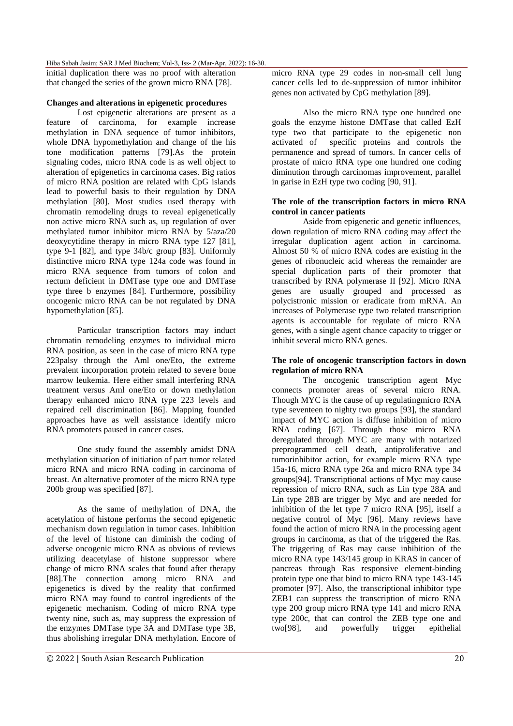initial duplication there was no proof with alteration that changed the series of the grown micro RNA [78].

# **Changes and alterations in epigenetic procedures**

Lost epigenetic alterations are present as a feature of carcinoma, for example increase methylation in DNA sequence of tumor inhibitors, whole DNA hypomethylation and change of the his tone modification patterns [79].As the protein signaling codes, micro RNA code is as well object to alteration of epigenetics in carcinoma cases. Big ratios of micro RNA position are related with CpG islands lead to powerful basis to their regulation by DNA methylation [80]. Most studies used therapy with chromatin remodeling drugs to reveal epigenetically non active micro RNA such as, up regulation of over methylated tumor inhibitor micro RNA by 5/aza/20 deoxycytidine therapy in micro RNA type 127 [81], type 9-1 [82], and type 34b/c group [83]. Uniformly distinctive micro RNA type 124a code was found in micro RNA sequence from tumors of colon and rectum deficient in DMTase type one and DMTase type three b enzymes [84]. Furthermore, possibility oncogenic micro RNA can be not regulated by DNA hypomethylation [85].

Particular transcription factors may induct chromatin remodeling enzymes to individual micro RNA position, as seen in the case of micro RNA type 223palsy through the Aml one/Eto, the extreme prevalent incorporation protein related to severe bone marrow leukemia. Here either small interfering RNA treatment versus Aml one/Eto or down methylation therapy enhanced micro RNA type 223 levels and repaired cell discrimination [86]. Mapping founded approaches have as well assistance identify micro RNA promoters paused in cancer cases.

One study found the assembly amidst DNA methylation situation of initiation of part tumor related micro RNA and micro RNA coding in carcinoma of breast. An alternative promoter of the micro RNA type 200b group was specified [87].

As the same of methylation of DNA, the acetylation of histone performs the second epigenetic mechanism down regulation in tumor cases. Inhibition of the level of histone can diminish the coding of adverse oncogenic micro RNA as obvious of reviews utilizing deacetylase of histone suppressor where change of micro RNA scales that found after therapy [88].The connection among micro RNA and epigenetics is dived by the reality that confirmed micro RNA may found to control ingredients of the epigenetic mechanism. Coding of micro RNA type twenty nine, such as, may suppress the expression of the enzymes DMTase type 3A and DMTase type 3B, thus abolishing irregular DNA methylation. Encore of micro RNA type 29 codes in non-small cell lung cancer cells led to de-suppression of tumor inhibitor genes non activated by CpG methylation [89].

Also the micro RNA type one hundred one goals the enzyme histone DMTase that called EzH type two that participate to the epigenetic non activated of specific proteins and controls the permanence and spread of tumors. In cancer cells of prostate of micro RNA type one hundred one coding diminution through carcinomas improvement, parallel in garise in EzH type two coding [90, 91].

# **The role of the transcription factors in micro RNA control in cancer patients**

Aside from epigenetic and genetic influences, down regulation of micro RNA coding may affect the irregular duplication agent action in carcinoma. Almost 50 % of micro RNA codes are existing in the genes of ribonucleic acid whereas the remainder are special duplication parts of their promoter that transcribed by RNA polymerase II [92]. Micro RNA genes are usually grouped and processed as polycistronic mission or eradicate from mRNA. An increases of Polymerase type two related transcription agents is accountable for regulate of micro RNA genes, with a single agent chance capacity to trigger or inhibit several micro RNA genes.

## **The role of oncogenic transcription factors in down regulation of micro RNA**

The oncogenic transcription agent Myc connects promoter areas of several micro RNA. Though MYC is the cause of up regulatingmicro RNA type seventeen to nighty two groups [93], the standard impact of MYC action is diffuse inhibition of micro RNA coding [67]. Through those micro RNA deregulated through MYC are many with notarized preprogrammed cell death, antiproliferative and tumorinhibitor action, for example micro RNA type 15a-16, micro RNA type 26a and micro RNA type 34 groups[94]. Transcriptional actions of Myc may cause repression of micro RNA, such as Lin type 28A and Lin type 28B are trigger by Myc and are needed for inhibition of the let type 7 micro RNA [95], itself a negative control of Myc [96]. Many reviews have found the action of micro RNA in the processing agent groups in carcinoma, as that of the triggered the Ras. The triggering of Ras may cause inhibition of the micro RNA type 143/145 group in KRAS in cancer of pancreas through Ras responsive element-binding protein type one that bind to micro RNA type 143-145 promoter [97]. Also, the transcriptional inhibitor type ZEB1 can suppress the transcription of micro RNA type 200 group micro RNA type 141 and micro RNA type 200c, that can control the ZEB type one and two[98], and powerfully trigger epithelial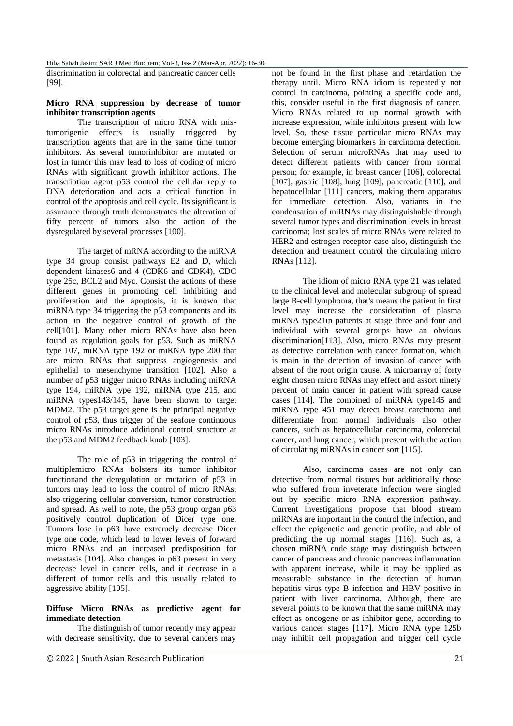discrimination in colorectal and pancreatic cancer cells [99].

# **Micro RNA suppression by decrease of tumor inhibitor transcription agents**

The transcription of micro RNA with mistumorigenic effects is usually triggered by transcription agents that are in the same time tumor inhibitors. As several tumorinhibitor are mutated or lost in tumor this may lead to loss of coding of micro RNAs with significant growth inhibitor actions. The transcription agent p53 control the cellular reply to DNA deterioration and acts a critical function in control of the apoptosis and cell cycle. Its significant is assurance through truth demonstrates the alteration of fifty percent of tumors also the action of the dysregulated by several processes [100].

The target of mRNA according to the miRNA type 34 group consist pathways E2 and D, which dependent kinases6 and 4 (CDK6 and CDK4), CDC type 25c, BCL2 and Myc. Consist the actions of these different genes in promoting cell inhibiting and proliferation and the apoptosis, it is known that miRNA type 34 triggering the p53 components and its action in the negative control of growth of the cell[101]. Many other micro RNAs have also been found as regulation goals for p53. Such as miRNA type 107, miRNA type 192 or miRNA type 200 that are micro RNAs that suppress angiogenesis and epithelial to mesenchyme transition [102]. Also a number of p53 trigger micro RNAs including miRNA type 194, miRNA type 192, miRNA type 215, and miRNA types143/145, have been shown to target MDM2. The p53 target gene is the principal negative control of p53, thus trigger of the seafore continuous micro RNAs introduce additional control structure at the p53 and MDM2 feedback knob [103].

The role of p53 in triggering the control of multiplemicro RNAs bolsters its tumor inhibitor functionand the deregulation or mutation of p53 in tumors may lead to loss the control of micro RNAs, also triggering cellular conversion, tumor construction and spread. As well to note, the p53 group organ p63 positively control duplication of Dicer type one. Tumors lose in p63 have extremely decrease Dicer type one code, which lead to lower levels of forward micro RNAs and an increased predisposition for metastasis [104]. Also changes in p63 present in very decrease level in cancer cells, and it decrease in a different of tumor cells and this usually related to aggressive ability [105].

# **Diffuse Micro RNAs as predictive agent for immediate detection**

The distinguish of tumor recently may appear with decrease sensitivity, due to several cancers may not be found in the first phase and retardation the therapy until. Micro RNA idiom is repeatedly not control in carcinoma, pointing a specific code and, this, consider useful in the first diagnosis of cancer. Micro RNAs related to up normal growth with increase expression, while inhibitors present with low level. So, these tissue particular micro RNAs may become emerging biomarkers in carcinoma detection. Selection of serum microRNAs that may used to detect different patients with cancer from normal person; for example, in breast cancer [106], colorectal [107], gastric [108], lung [109], pancreatic [110], and hepatocellular [111] cancers, making them apparatus for immediate detection. Also, variants in the condensation of miRNAs may distinguishable through several tumor types and discrimination levels in breast carcinoma; lost scales of micro RNAs were related to HER2 and estrogen receptor case also, distinguish the detection and treatment control the circulating micro RNAs [112].

The idiom of micro RNA type 21 was related to the clinical level and molecular subgroup of spread large B-cell lymphoma, that's means the patient in first level may increase the consideration of plasma miRNA type21in patients at stage three and four and individual with several groups have an obvious discrimination[113]. Also, micro RNAs may present as detective correlation with cancer formation, which is main in the detection of invasion of cancer with absent of the root origin cause. A microarray of forty eight chosen micro RNAs may effect and assort ninety percent of main cancer in patient with spread cause cases [114]. The combined of miRNA type145 and miRNA type 451 may detect breast carcinoma and differentiate from normal individuals also other cancers, such as hepatocellular carcinoma, colorectal cancer, and lung cancer, which present with the action of circulating miRNAs in cancer sort [115].

Also, carcinoma cases are not only can detective from normal tissues but additionally those who suffered from inveterate infection were singled out by specific micro RNA expression pathway. Current investigations propose that blood stream miRNAs are important in the control the infection, and effect the epigenetic and genetic profile, and able of predicting the up normal stages [116]. Such as, a chosen miRNA code stage may distinguish between cancer of pancreas and chronic pancreas inflammation with apparent increase, while it may be applied as measurable substance in the detection of human hepatitis virus type B infection and HBV positive in patient with liver carcinoma. Although, there are several points to be known that the same miRNA may effect as oncogene or as inhibitor gene, according to various cancer stages [117]. Micro RNA type 125b may inhibit cell propagation and trigger cell cycle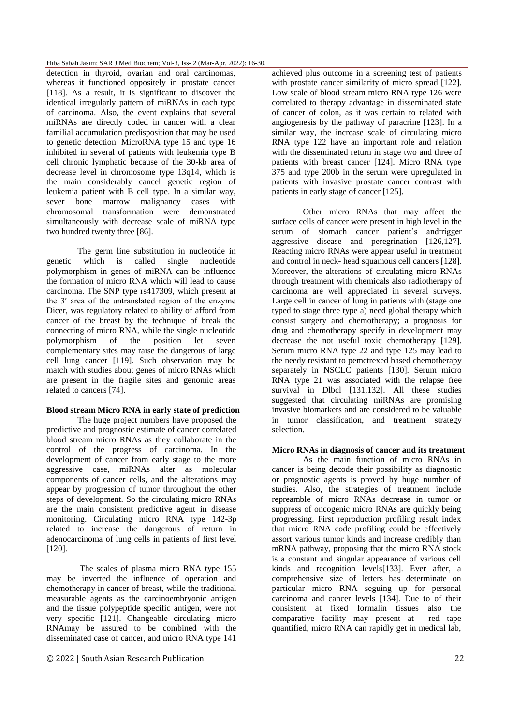detection in thyroid, ovarian and oral carcinomas, whereas it functioned oppositely in prostate cancer [118]. As a result, it is significant to discover the identical irregularly pattern of miRNAs in each type of carcinoma. Also, the event explains that several miRNAs are directly coded in cancer with a clear familial accumulation predisposition that may be used to genetic detection. MicroRNA type 15 and type 16 inhibited in several of patients with leukemia type B cell chronic lymphatic because of the 30-kb area of decrease level in chromosome type 13q14, which is the main considerably cancel genetic region of leukemia patient with B cell type. In a similar way, sever bone marrow malignancy cases with chromosomal transformation were demonstrated simultaneously with decrease scale of miRNA type two hundred twenty three [86].

The germ line substitution in nucleotide in genetic which is called single nucleotide polymorphism in genes of miRNA can be influence the formation of micro RNA which will lead to cause carcinoma. The SNP type rs417309, which present at the 3′ area of the untranslated region of the enzyme Dicer, was regulatory related to ability of afford from cancer of the breast by the technique of break the connecting of micro RNA, while the single nucleotide polymorphism of the position let seven complementary sites may raise the dangerous of large cell lung cancer [119]. Such observation may be match with studies about genes of micro RNAs which are present in the fragile sites and genomic areas related to cancers [74].

# **Blood stream Micro RNA in early state of prediction**

The huge project numbers have proposed the predictive and prognostic estimate of cancer correlated blood stream micro RNAs as they collaborate in the control of the progress of carcinoma. In the development of cancer from early stage to the more aggressive case, miRNAs alter as molecular components of cancer cells, and the alterations may appear by progression of tumor throughout the other steps of development. So the circulating micro RNAs are the main consistent predictive agent in disease monitoring. Circulating micro RNA type 142-3p related to increase the dangerous of return in adenocarcinoma of lung cells in patients of first level [120].

The scales of plasma micro RNA type 155 may be inverted the influence of operation and chemotherapy in cancer of breast, while the traditional measurable agents as the carcinoembryonic antigen and the tissue polypeptide specific antigen, were not very specific [121]. Changeable circulating micro RNAmay be assured to be combined with the disseminated case of cancer, and micro RNA type 141

achieved plus outcome in a screening test of patients with prostate cancer similarity of micro spread [122]. Low scale of blood stream micro RNA type 126 were correlated to therapy advantage in disseminated state of cancer of colon, as it was certain to related with angiogenesis by the pathway of paracrine [123]. In a similar way, the increase scale of circulating micro RNA type 122 have an important role and relation with the disseminated return in stage two and three of patients with breast cancer [124]. Micro RNA type 375 and type 200b in the serum were upregulated in patients with invasive prostate cancer contrast with patients in early stage of cancer [125].

Other micro RNAs that may affect the surface cells of cancer were present in high level in the serum of stomach cancer patient's andtrigger aggressive disease and peregrination  $[126,127]$ . Reacting micro RNAs were appear useful in treatment and control in neck- head squamous cell cancers [128]. Moreover, the alterations of circulating micro RNAs through treatment with chemicals also radiotherapy of carcinoma are well appreciated in several surveys. Large cell in cancer of lung in patients with (stage one typed to stage three type a) need global therapy which consist surgery and chemotherapy; a prognosis for drug and chemotherapy specify in development may decrease the not useful toxic chemotherapy [129]. Serum micro RNA type 22 and type 125 may lead to the needy resistant to pemetrexed based chemotherapy separately in NSCLC patients [130]. Serum micro RNA type 21 was associated with the relapse free survival in Dlbcl [131,132]. All these studies suggested that circulating miRNAs are promising invasive biomarkers and are considered to be valuable in tumor classification, and treatment strategy selection.

## **Micro RNAs in diagnosis of cancer and its treatment**

As the main function of micro RNAs in cancer is being decode their possibility as diagnostic or prognostic agents is proved by huge number of studies. Also, the strategies of treatment include repreamble of micro RNAs decrease in tumor or suppress of oncogenic micro RNAs are quickly being progressing. First reproduction profiling result index that micro RNA code profiling could be effectively assort various tumor kinds and increase credibly than mRNA pathway, proposing that the micro RNA stock is a constant and singular appearance of various cell kinds and recognition levels[133]. Ever after, a comprehensive size of letters has determinate on particular micro RNA seguing up for personal carcinoma and cancer levels [134]. Due to of their consistent at fixed formalin tissues also the comparative facility may present at red tape quantified, micro RNA can rapidly get in medical lab,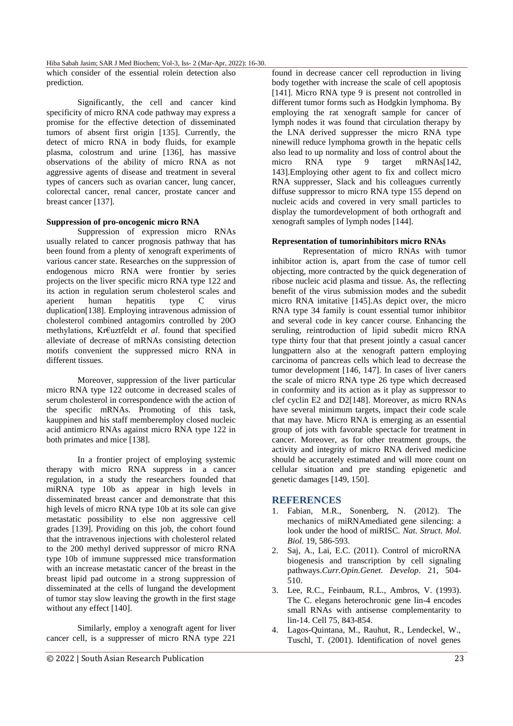which consider of the essential rolein detection also prediction.

Significantly, the cell and cancer kind specificity of micro RNA code pathway may express a promise for the effective detection of disseminated tumors of absent first origin [135]. Currently, the detect of micro RNA in body fluids, for example plasma, colostrum and urine [136], has massive observations of the ability of micro RNA as not aggressive agents of disease and treatment in several types of cancers such as ovarian cancer, lung cancer, colorectal cancer, renal cancer, prostate cancer and breast cancer [137].

# **Suppression of pro-oncogenic micro RNA**

Suppression of expression micro RNAs usually related to cancer prognosis pathway that has been found from a plenty of xenograft experiments of various cancer state. Researches on the suppression of endogenous micro RNA were frontier by series projects on the liver specific micro RNA type 122 and its action in regulation serum cholesterol scales and<br>aperient human hepatitis tvoe C virus human hepatitis type C virus duplication[138]. Employing intravenous admission of cholesterol combined antagomirs controlled by 20O methylations, Kr€uztfeldt *et al*. found that specified alleviate of decrease of mRNAs consisting detection motifs convenient the suppressed micro RNA in different tissues.

Moreover, suppression of the liver particular micro RNA type 122 outcome in decreased scales of serum cholesterol in correspondence with the action of the specific mRNAs. Promoting of this task, kauppinen and his staff memberemploy closed nucleic acid antimicro RNAs against micro RNA type 122 in both primates and mice [138].

In a frontier project of employing systemic therapy with micro RNA suppress in a cancer regulation, in a study the researchers founded that miRNA type 10b as appear in high levels in disseminated breast cancer and demonstrate that this high levels of micro RNA type 10b at its sole can give metastatic possibility to else non aggressive cell grades [139]. Providing on this job, the cohort found that the intravenous injections with cholesterol related to the 200 methyl derived suppressor of micro RNA type 10b of immune suppressed mice transformation with an increase metastatic cancer of the breast in the breast lipid pad outcome in a strong suppression of disseminated at the cells of lungand the development of tumor stay slow leaving the growth in the first stage without any effect [140].

Similarly, employ a xenograft agent for liver cancer cell, is a suppresser of micro RNA type 221 found in decrease cancer cell reproduction in living body together with increase the scale of cell apoptosis [141]. Micro RNA type 9 is present not controlled in different tumor forms such as Hodgkin lymphoma. By employing the rat xenograft sample for cancer of lymph nodes it was found that circulation therapy by the LNA derived suppresser the micro RNA type ninewill reduce lymphoma growth in the hepatic cells also lead to up normality and loss of control about the micro RNA type 9 target mRNAs[142, 143].Employing other agent to fix and collect micro RNA suppresser, Slack and his colleagues currently diffuse suppressor to micro RNA type 155 depend on nucleic acids and covered in very small particles to display the tumordevelopment of both orthograft and xenograft samples of lymph nodes [144].

## **Representation of tumorinhibitors micro RNAs**

Representation of micro RNAs with tumor inhibitor action is, apart from the case of tumor cell objecting, more contracted by the quick degeneration of ribose nucleic acid plasma and tissue. As, the reflecting benefit of the virus submission modes and the subedit micro RNA imitative [145].As depict over, the micro RNA type 34 family is count essential tumor inhibitor and several code in key cancer course. Enhancing the seruling, reintroduction of lipid subedit micro RNA type thirty four that that present jointly a casual cancer lungpattern also at the xenograft pattern employing carcinoma of pancreas cells which lead to decrease the tumor development [146, 147]. In cases of liver caners the scale of micro RNA type 26 type which decreased in conformity and its action as it play as suppressor to clef cyclin E2 and D2[148]. Moreover, as micro RNAs have several minimum targets, impact their code scale that may have. Micro RNA is emerging as an essential group of jots with favorable spectacle for treatment in cancer. Moreover, as for other treatment groups, the activity and integrity of micro RNA derived medicine should be accurately estimated and will more count on cellular situation and pre standing epigenetic and genetic damages [149, 150].

# **REFERENCES**

- 1. Fabian, M.R., Sonenberg, N. (2012). The mechanics of miRNAmediated gene silencing: a look under the hood of miRISC. *Nat. Struct. Mol. Biol.* 19, 586-593.
- 2. Saj, A., Lai, E.C. (2011). Control of microRNA biogenesis and transcription by cell signaling pathways.*Curr.Opin.Genet. Develop*. 21, 504- 510.
- 3. Lee, R.C., Feinbaum, R.L., Ambros, V. (1993). The C. elegans heterochronic gene lin-4 encodes small RNAs with antisense complementarity to lin-14. Cell 75, 843-854.
- 4. Lagos-Quintana, M., Rauhut, R., Lendeckel, W., Tuschl, T. (2001). Identification of novel genes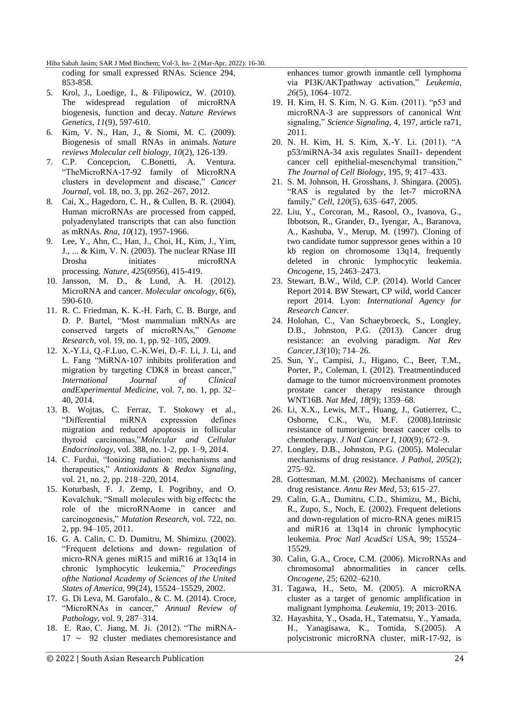coding for small expressed RNAs. Science 294, 853-858.

- 5. Krol, J., Loedige, I., & Filipowicz, W. (2010). The widespread regulation of microRNA biogenesis, function and decay. *Nature Reviews Genetics*, *11*(9), 597-610.
- 6. Kim, V. N., Han, J., & Siomi, M. C. (2009). Biogenesis of small RNAs in animals. *Nature reviews Molecular cell biology*, *10*(2), 126-139.
- 7. C.P. Concepcion, C.Bonetti, A. Ventura. ―TheMicroRNA-17-92 family of MicroRNA clusters in development and disease," Cancer *Journal*, vol. 18, no. 3, pp. 262–267, 2012.
- 8. Cai, X., Hagedorn, C. H., & Cullen, B. R. (2004). Human microRNAs are processed from capped, polyadenylated transcripts that can also function as mRNAs. *Rna*, *10*(12), 1957-1966.
- 9. Lee, Y., Ahn, C., Han, J., Choi, H., Kim, J., Yim, J., ... & Kim, V. N. (2003). The nuclear RNase III Drosha initiates microRNA processing. *Nature*, *425*(6956), 415-419.
- 10. Jansson, M. D., & Lund, A. H. (2012). MicroRNA and cancer. *Molecular oncology*, *6*(6), 590-610.
- 11. R. C. Friedman, K. K.-H. Farh, C. B. Burge, and D. P. Bartel, "Most mammalian mRNAs are conserved targets of microRNAs," Genome *Research*, vol. 19, no. 1, pp. 92–105, 2009.
- 12. X.-Y.Li, Q.-F.Luo, C.-K.Wei, D.-F. Li, J. Li, and L. Fang "MiRNA-107 inhibits proliferation and migration by targeting CDK8 in breast cancer," *International Journal of Clinical andExperimental Medicine*, vol. 7, no. 1, pp. 32– 40, 2014.
- 13. B. Wojtas, C. Ferraz, T. Stokowy et al., ―Differential miRNA expression defines migration and reduced apoptosis in follicular thyroid carcinomas,‖*Molecular and Cellular Endocrinology*, vol. 388, no. 1-2, pp. 1–9, 2014.
- 14. C. Furdui, "Ionizing radiation: mechanisms and therapeutics,‖ *Antioxidants & Redox Signaling*, vol. 21, no. 2, pp. 218–220, 2014.
- 15. Koturbash, F. J. Zemp, I. Pogribny, and O. Kovalchuk, "Small molecules with big effects: the role of the microRNAome in cancer and carcinogenesis,‖ *Mutation Research*, vol. 722, no. 2, pp. 94–105, 2011.
- 16. G. A. Calin, C. D. Dumitru, M. Shimizu. (2002). ―Frequent deletions and down- regulation of micro-RNA genes miR15 and miR16 at 13q14 in chronic lymphocytic leukemia,‖ *Proceedings ofthe National Academy of Sciences of the United States of America*, 99(24), 15524–15529, 2002.
- 17. G. Di Leva, M. Garofalo., & C. M. (2014). Croce, ―MicroRNAs in cancer,‖ *Annual Review of Pathology*, vol. 9, 287–314.
- 18. E. Rao, C. Jiang, M. Ji. (2012). "The miRNA-17 ∼ 92 cluster mediates chemoresistance and

© 2022 | South Asian Research Publication 24

enhances tumor growth inmantle cell lymphoma via PI3K/AKTpathway activation," *Leukemia*, *26*(5), 1064–1072.

- 19. H. Kim, H. S. Kim, N. G. Kim. (2011). "p53 and microRNA-3 are suppressors of canonical Wnt signaling," *Science Signaling*, 4, 197, article ra71, 2011.
- 20. N. H. Kim, H. S. Kim, X.-Y. Li. (2011). "A p53/miRNA-34 axis regulates Snail1- dependent cancer cell epithelial-mesenchymal transition," *The Journal of Cell Biology*, 195, 9; 417–433.
- 21. S. M. Johnson, H. Grosshans, J. Shingara. (2005). "RAS is regulated by the let-7 microRNA family,‖ *Cell, 120*(5), 635–647, 2005.
- 22. Liu, Y., Corcoran, M., Rasool, O., Ivanova, G., Ibbotson, R., Grander, D., Iyengar, A., Baranova, A., Kashuba, V., Merup, M. (1997). Cloning of two candidate tumor suppressor genes within a 10 kb region on chromosome 13q14, frequently deleted in chronic lymphocytic leukemia. *Oncogene,* 15, 2463–2473.
- 23. Stewart, B.W., Wild, C.P. (2014). World Cancer Report 2014. BW Stewart, CP wild, world Cancer report 2014. Lyon: *International Agency for Research Cancer*.
- 24. Holohan, C., Van Schaeybroeck, S., Longley, D.B., Johnston, P.G. (2013). Cancer drug resistance: an evolving paradigm. *Nat Rev Cancer,13*(10); 714–26.
- 25. Sun, Y., Campisi, J., Higano, C., Beer, T.M., Porter, P., Coleman, I. (2012). Treatmentinduced damage to the tumor microenvironment promotes prostate cancer therapy resistance through WNT16B. *Nat Med*, *18*(9); 1359–68.
- 26. Li, X.X., Lewis, M.T., Huang, J., Gutierrez, C., Osborne, C.K., Wu, M.F. (2008).Intrinsic resistance of tumorigenic breast cancer cells to chemotherapy. *J Natl Cancer I*, *100*(9); 672–9.
- 27. Longley, D.B., Johnston, P.G. (2005). Molecular mechanisms of drug resistance. *J Pathol*, *205*(2); 275–92.
- 28. Gottesman, M.M. (2002). Mechanisms of cancer drug resistance. *Annu Rev Med*, 53; 615–27.
- 29. Calin, G.A., Dumitru, C.D., Shimizu, M., Bichi, R., Zupo, S., Noch, E. (2002). Frequent deletions and down-regulation of micro-RNA genes miR15 and miR16 at 13q14 in chronic lymphocytic leukemia. *Proc Natl AcadSci* USA, 99; 15524– 15529.
- 30. Calin, G.A., Croce, C.M. (2006). MicroRNAs and chromosomal abnormalities in cancer cells. *Oncogene,* 25; 6202–6210.
- 31. Tagawa, H., Seto, M. (2005). A microRNA cluster as a target of genomic amplification in malignant lymphoma. *Leukemia,* 19; 2013–2016.
- 32. Hayashita, Y., Osada, H., Tatematsu, Y., Yamada, H., Yanagisawa, K., Tomida, S.(2005). A polycistronic microRNA cluster, miR-17-92, is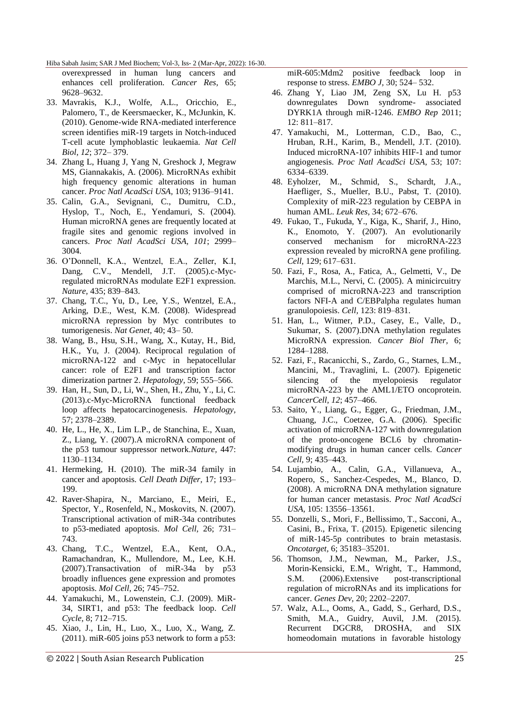overexpressed in human lung cancers and enhances cell proliferation. *Cancer Res,* 65; 9628–9632.

- 33. Mavrakis, K.J., Wolfe, A.L., Oricchio, E., Palomero, T., de Keersmaecker, K., McJunkin, K. (2010). Genome-wide RNA-mediated interference screen identifies miR-19 targets in Notch-induced T-cell acute lymphoblastic leukaemia. *Nat Cell Biol, 12*; 372– 379.
- 34. Zhang L, Huang J, Yang N, Greshock J, Megraw MS, Giannakakis, A. (2006). MicroRNAs exhibit high frequency genomic alterations in human cancer. *Proc Natl AcadSci USA,* 103; 9136–9141.
- 35. Calin, G.A., Sevignani, C., Dumitru, C.D., Hyslop, T., Noch, E., Yendamuri, S. (2004). Human microRNA genes are frequently located at fragile sites and genomic regions involved in cancers. *Proc Natl AcadSci USA, 101*; 2999– 3004.
- 36. O'Donnell, K.A., Wentzel, E.A., Zeller, K.I, Dang, C.V., Mendell, J.T. (2005).c-Mycregulated microRNAs modulate E2F1 expression. *Nature,* 435; 839–843.
- 37. Chang, T.C., Yu, D., Lee, Y.S., Wentzel, E.A., Arking, D.E., West, K.M. (2008). Widespread microRNA repression by Myc contributes to tumorigenesis. *Nat Genet,* 40; 43– 50.
- 38. Wang, B., Hsu, S.H., Wang, X., Kutay, H., Bid, H.K., Yu, J. (2004). Reciprocal regulation of microRNA-122 and c-Myc in hepatocellular cancer: role of E2F1 and transcription factor dimerization partner 2. *Hepatology,* 59; 555–566.
- 39. Han, H., Sun, D., Li, W., Shen, H., Zhu, Y., Li, C. (2013).c-Myc-MicroRNA functional feedback loop affects hepatocarcinogenesis. *Hepatology,* 57; 2378–2389.
- 40. He, L., He, X., Lim L.P., de Stanchina, E., Xuan, Z., Liang, Y. (2007).A microRNA component of the p53 tumour suppressor network.*Nature,* 447: 1130–1134.
- 41. Hermeking, H. (2010). The miR-34 family in cancer and apoptosis. *Cell Death Differ,* 17; 193– 199.
- 42. Raver-Shapira, N., Marciano, E., Meiri, E., Spector, Y., Rosenfeld, N., Moskovits, N. (2007). Transcriptional activation of miR-34a contributes to p53-mediated apoptosis. *Mol Cell,* 26; 731– 743.
- 43. Chang, T.C., Wentzel, E.A., Kent, O.A., Ramachandran, K., Mullendore, M., Lee, K.H. (2007).Transactivation of miR-34a by p53 broadly influences gene expression and promotes apoptosis. *Mol Cell,* 26; 745–752.
- 44. Yamakuchi, M., Lowenstein, C.J. (2009). MiR-34, SIRT1, and p53: The feedback loop. *Cell Cycle,* 8; 712–715.
- 45. Xiao, J., Lin, H., Luo, X., Luo, X., Wang, Z.  $(2011)$ . miR-605 joins p53 network to form a p53:

© 2022 | South Asian Research Publication 25

miR-605:Mdm2 positive feedback loop in response to stress. *EMBO J,* 30; 524– 532.

- 46. Zhang Y, Liao JM, Zeng SX, Lu H. p53 downregulates Down syndrome- associated DYRK1A through miR-1246. *EMBO Rep* 2011; 12: 811–817.
- 47. Yamakuchi, M., Lotterman, C.D., Bao, C., Hruban, R.H., Karim, B., Mendell, J.T. (2010). Induced microRNA-107 inhibits HIF-1 and tumor angiogenesis. *Proc Natl AcadSci USA,* 53; 107: 6334–6339.
- 48. Eyholzer, M., Schmid, S., Schardt, J.A., Haefliger, S., Mueller, B.U., Pabst, T. (2010). Complexity of miR-223 regulation by CEBPA in human AML. *Leuk Res,* 34; 672–676.
- 49. Fukao, T., Fukuda, Y., Kiga, K., Sharif, J., Hino, K., Enomoto, Y. (2007). An evolutionarily conserved mechanism for microRNA-223 expression revealed by microRNA gene profiling. *Cell,* 129; 617–631.
- 50. Fazi, F., Rosa, A., Fatica, A., Gelmetti, V., De Marchis, M.L., Nervi, C. (2005). A minicircuitry comprised of microRNA-223 and transcription factors NFI-A and C/EBPalpha regulates human granulopoiesis. *Cell,* 123: 819–831.
- 51. Han, L., Witmer, P.D., Casey, E., Valle, D., Sukumar, S. (2007).DNA methylation regulates MicroRNA expression. *Cancer Biol Ther,* 6; 1284–1288.
- 52. Fazi, F., Racanicchi, S., Zardo, G., Starnes, L.M., Mancini, M., Travaglini, L. (2007). Epigenetic silencing of the myelopoiesis regulator microRNA-223 by the AML1/ETO oncoprotein. *CancerCell, 12*; 457–466.
- 53. Saito, Y., Liang, G., Egger, G., Friedman, J.M., Chuang, J.C., Coetzee, G.A. (2006). Specific activation of microRNA-127 with downregulation of the proto-oncogene BCL6 by chromatinmodifying drugs in human cancer cells. *Cancer Cell,* 9; 435–443.
- 54. Lujambio, A., Calin, G.A., Villanueva, A., Ropero, S., Sanchez-Cespedes, M., Blanco, D. (2008). A microRNA DNA methylation signature for human cancer metastasis. *Proc Natl AcadSci USA,* 105: 13556–13561.
- 55. Donzelli, S., Mori, F., Bellissimo, T., Sacconi, A., Casini, B., Frixa, T. (2015). Epigenetic silencing of miR-145-5p contributes to brain metastasis. *Oncotarget,* 6; 35183–35201.
- 56. Thomson, J.M., Newman, M., Parker, J.S., Morin-Kensicki, E.M., Wright, T., Hammond, S.M. (2006).Extensive post-transcriptional regulation of microRNAs and its implications for cancer. *Genes Dev,* 20; 2202–2207.
- 57. Walz, A.L., Ooms, A., Gadd, S., Gerhard, D.S., Smith, M.A., Guidry, Auvil, J.M. (2015). Recurrent DGCR8, DROSHA, and SIX homeodomain mutations in favorable histology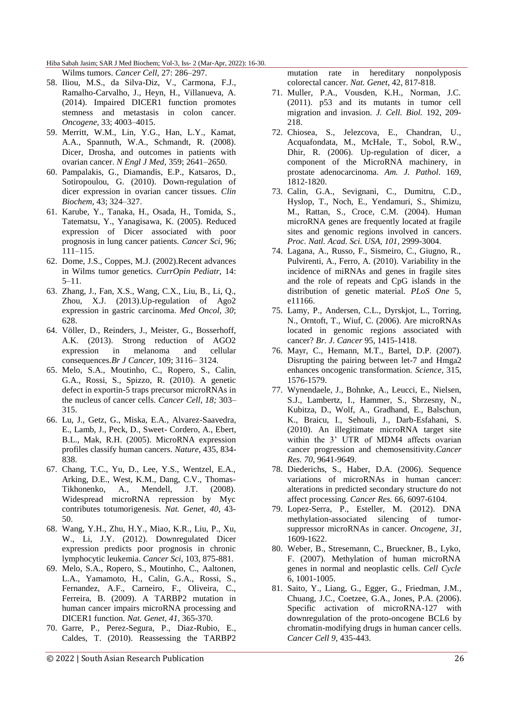#### Hiba Sabah Jasim; SAR J Med Biochem; Vol-3, Iss- 2 (Mar-Apr, 2022): 16-30. Wilms tumors. *Cancer Cell,* 27: 286–297.

- 58. Iliou, M.S., da Silva-Diz, V., Carmona, F.J., Ramalho-Carvalho, J., Heyn, H., Villanueva, A. (2014). Impaired DICER1 function promotes stemness and metastasis in colon cancer. *Oncogene,* 33; 4003–4015.
- 59. Merritt, W.M., Lin, Y.G., Han, L.Y., Kamat, A.A., Spannuth, W.A., Schmandt, R. (2008). Dicer, Drosha, and outcomes in patients with ovarian cancer. *N Engl J Med,* 359; 2641–2650.
- 60. Pampalakis, G., Diamandis, E.P., Katsaros, D., Sotiropoulou, G. (2010). Down-regulation of dicer expression in ovarian cancer tissues. *Clin Biochem,* 43; 324–327.
- 61. Karube, Y., Tanaka, H., Osada, H., Tomida, S., Tatematsu, Y., Yanagisawa, K. (2005). Reduced expression of Dicer associated with poor prognosis in lung cancer patients. *Cancer Sci,* 96; 111–115.
- 62. Dome, J.S., Coppes, M.J. (2002).Recent advances in Wilms tumor genetics. *CurrOpin Pediatr,* 14: 5–11.
- 63. Zhang, J., Fan, X.S., Wang, C.X., Liu, B., Li, Q., Zhou, X.J. (2013).Up-regulation of Ago2 expression in gastric carcinoma. *Med Oncol, 30*; 628.
- 64. Völler, D., Reinders, J., Meister, G., Bosserhoff, A.K. (2013). Strong reduction of AGO2 expression in melanoma and cellular consequences.*Br J Cancer,* 109; 3116– 3124.
- 65. Melo, S.A., Moutinho, C., Ropero, S., Calin, G.A., Rossi, S., Spizzo, R. (2010). A genetic defect in exportin-5 traps precursor microRNAs in the nucleus of cancer cells. *Cancer Cell, 18;* 303– 315.
- 66. Lu, J., Getz, G., Miska, E.A., Alvarez-Saavedra, E., Lamb, J., Peck, D., Sweet- Cordero, A., Ebert, B.L., Mak, R.H. (2005). MicroRNA expression profiles classify human cancers. *Nature*, 435, 834- 838.
- 67. Chang, T.C., Yu, D., Lee, Y.S., Wentzel, E.A., Arking, D.E., West, K.M., Dang, C.V., Thomas-Tikhonenko, A., Mendell, J.T. (2008). Widespread microRNA repression by Myc contributes totumorigenesis. *Nat. Genet, 40*, 43- 50.
- 68. Wang, Y.H., Zhu, H.Y., Miao, K.R., Liu, P., Xu, W., Li, J.Y. (2012). Downregulated Dicer expression predicts poor prognosis in chronic lymphocytic leukemia. *Cancer Sci*, 103, 875-881.
- 69. Melo, S.A., Ropero, S., Moutinho, C., Aaltonen, L.A., Yamamoto, H., Calin, G.A., Rossi, S., Fernandez, A.F., Carneiro, F., Oliveira, C., Ferreira, B. (2009). A TARBP2 mutation in human cancer impairs microRNA processing and DICER1 function. *Nat. Genet, 41*, 365-370.
- 70. Garre, P., Perez-Segura, P., Diaz-Rubio, E., Caldes, T. (2010). Reassessing the TARBP2

mutation rate in hereditary nonpolyposis colorectal cancer. *Nat. Genet*, 42, 817-818.

- 71. Muller, P.A., Vousden, K.H., Norman, J.C. (2011). p53 and its mutants in tumor cell migration and invasion. *J. Cell. Biol.* 192, 209- 218.
- 72. Chiosea, S., Jelezcova, E., Chandran, U., Acquafondata, M., McHale, T., Sobol, R.W., Dhir, R. (2006). Up-regulation of dicer, a component of the MicroRNA machinery, in prostate adenocarcinoma. *Am. J. Pathol*. 169, 1812-1820.
- 73. Calin, G.A., Sevignani, C., Dumitru, C.D., Hyslop, T., Noch, E., Yendamuri, S., Shimizu, M., Rattan, S., Croce, C.M. (2004). Human microRNA genes are frequently located at fragile sites and genomic regions involved in cancers. *Proc. Natl. Acad. Sci. USA, 101*, 2999-3004.
- 74. Lagana, A., Russo, F., Sismeiro, C., Giugno, R., Pulvirenti, A., Ferro, A. (2010). Variability in the incidence of miRNAs and genes in fragile sites and the role of repeats and CpG islands in the distribution of genetic material*. PLoS One* 5, e11166.
- 75. Lamy, P., Andersen, C.L., Dyrskjot, L., Torring, N., Orntoft, T., Wiuf, C. (2006). Are microRNAs located in genomic regions associated with cancer? *Br. J. Cancer* 95, 1415-1418.
- 76. Mayr, C., Hemann, M.T., Bartel, D.P. (2007). Disrupting the pairing between let-7 and Hmga2 enhances oncogenic transformation. *Science,* 315, 1576-1579.
- 77. Wynendaele, J., Bohnke, A., Leucci, E., Nielsen, S.J., Lambertz, I., Hammer, S., Sbrzesny, N., Kubitza, D., Wolf, A., Gradhand, E., Balschun, K., Braicu, I., Sehouli, J., Darb-Esfahani, S. (2010). An illegitimate microRNA target site within the 3' UTR of MDM4 affects ovarian cancer progression and chemosensitivity.*Cancer Res. 70*, 9641-9649.
- 78. Diederichs, S., Haber, D.A. (2006). Sequence variations of microRNAs in human cancer: alterations in predicted secondary structure do not affect processing. *Cancer Res.* 66, 6097-6104.
- 79. Lopez-Serra, P., Esteller, M. (2012). DNA methylation-associated silencing of tumorsuppressor microRNAs in cancer. *Oncogene, 31*, 1609-1622.
- 80. Weber, B., Stresemann, C., Brueckner, B., Lyko, F. (2007). Methylation of human microRNA genes in normal and neoplastic cells. *Cell Cycle*  6, 1001-1005.
- 81. Saito, Y., Liang, G., Egger, G., Friedman, J.M., Chuang, J.C., Coetzee, G.A., Jones, P.A. (2006). Specific activation of microRNA-127 with downregulation of the proto-oncogene BCL6 by chromatin-modifying drugs in human cancer cells. *Cancer Cell 9*, 435-443.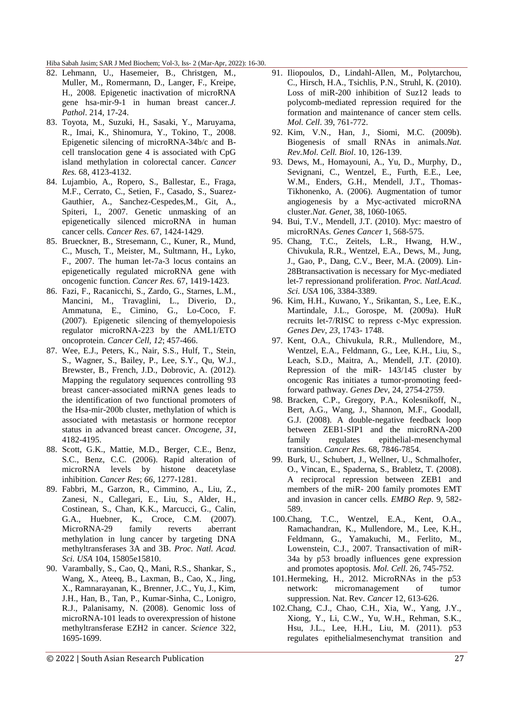- 82. Lehmann, U., Hasemeier, B., Christgen, M., Muller, M., Romermann, D., Langer, F., Kreipe, H., 2008. Epigenetic inactivation of microRNA gene hsa-mir-9-1 in human breast cancer.*J. Pathol*. 214, 17-24.
- 83. Toyota, M., Suzuki, H., Sasaki, Y., Maruyama, R., Imai, K., Shinomura, Y., Tokino, T., 2008. Epigenetic silencing of microRNA-34b/c and Bcell translocation gene 4 is associated with CpG island methylation in colorectal cancer. *Cancer Res.* 68, 4123-4132.
- 84. Lujambio, A., Ropero, S., Ballestar, E., Fraga, M.F., Cerrato, C., Setien, F., Casado, S., Suarez-Gauthier, A., Sanchez-Cespedes,M., Git, A., Spiteri, I., 2007. Genetic unmasking of an epigenetically silenced microRNA in human cancer cells. *Cancer Res*. 67, 1424-1429.
- 85. Brueckner, B., Stresemann, C., Kuner, R., Mund, C., Musch, T., Meister, M., Sultmann, H., Lyko, F., 2007. The human let-7a-3 locus contains an epigenetically regulated microRNA gene with oncogenic function. *Cancer Res.* 67, 1419-1423.
- 86. Fazi, F., Racanicchi, S., Zardo, G., Starnes, L.M., Mancini, M., Travaglini, L., Diverio, D., Ammatuna, E., Cimino, G., Lo-Coco, F. (2007). Epigenetic silencing of themyelopoiesis regulator microRNA-223 by the AML1/ETO oncoprotein. *Cancer Cell, 12*; 457-466.
- 87. Wee, E.J., Peters, K., Nair, S.S., Hulf, T., Stein, S., Wagner, S., Bailey, P., Lee, S.Y., Qu, W.J., Brewster, B., French, J.D., Dobrovic, A. (2012). Mapping the regulatory sequences controlling 93 breast cancer-associated miRNA genes leads to the identification of two functional promoters of the Hsa-mir-200b cluster, methylation of which is associated with metastasis or hormone receptor status in advanced breast cancer. *Oncogene, 31*, 4182-4195.
- 88. Scott, G.K., Mattie, M.D., Berger, C.E., Benz, S.C., Benz, C.C. (2006). Rapid alteration of microRNA levels by histone deacetylase inhibition. *Cancer Res*; *66*, 1277-1281.
- 89. Fabbri, M., Garzon, R., Cimmino, A., Liu, Z., Zanesi, N., Callegari, E., Liu, S., Alder, H., Costinean, S., Chan, K.K., Marcucci, G., Calin, G.A., Huebner, K., Croce, C.M. (2007). MicroRNA-29 family reverts aberrant methylation in lung cancer by targeting DNA methyltransferases 3A and 3B. *Proc. Natl. Acad. Sci. USA* 104, 15805e15810.
- 90. Varambally, S., Cao, Q., Mani, R.S., Shankar, S., Wang, X., Ateeq, B., Laxman, B., Cao, X., Jing, X., Ramnarayanan, K., Brenner, J.C., Yu, J., Kim, J.H., Han, B., Tan, P., Kumar-Sinha, C., Lonigro, R.J., Palanisamy, N. (2008). Genomic loss of microRNA-101 leads to overexpression of histone methyltransferase EZH2 in cancer. *Science* 322, 1695-1699.
- 91. Iliopoulos, D., Lindahl-Allen, M., Polytarchou, C., Hirsch, H.A., Tsichlis, P.N., Struhl, K. (2010). Loss of miR-200 inhibition of Suz12 leads to polycomb-mediated repression required for the formation and maintenance of cancer stem cells. *Mol. Cell*. 39, 761-772.
- 92. Kim, V.N., Han, J., Siomi, M.C. (2009b). Biogenesis of small RNAs in animals.*Nat. Rev.Mol. Cell. Biol*. 10, 126-139.
- 93. Dews, M., Homayouni, A., Yu, D., Murphy, D., Sevignani, C., Wentzel, E., Furth, E.E., Lee, W.M., Enders, G.H., Mendell, J.T., Thomas-Tikhonenko, A. (2006). Augmentation of tumor angiogenesis by a Myc-activated microRNA cluster.*Nat. Genet,* 38, 1060-1065.
- 94. Bui, T.V., Mendell, J.T. (2010). Myc: maestro of microRNAs. *Genes Cancer* 1, 568-575.
- 95. Chang, T.C., Zeitels, L.R., Hwang, H.W., Chivukula, R.R., Wentzel, E.A., Dews, M., Jung, J., Gao, P., Dang, C.V., Beer, M.A. (2009). Lin-28Btransactivation is necessary for Myc-mediated let-7 repressionand proliferation. *Proc. Natl.Acad. Sci. USA* 106, 3384-3389.
- 96. Kim, H.H., Kuwano, Y., Srikantan, S., Lee, E.K., Martindale, J.L., Gorospe, M. (2009a). HuR recruits let-7/RISC to repress c-Myc expression. *Genes Dev, 23*, 1743- 1748.
- 97. Kent, O.A., Chivukula, R.R., Mullendore, M., Wentzel, E.A., Feldmann, G., Lee, K.H., Liu, S., Leach, S.D., Maitra, A., Mendell, J.T. (2010). Repression of the miR- 143/145 cluster by oncogenic Ras initiates a tumor-promoting feedforward pathway. *Genes Dev*, 24, 2754-2759.
- 98. Bracken, C.P., Gregory, P.A., Kolesnikoff, N., Bert, A.G., Wang, J., Shannon, M.F., Goodall, G.J. (2008). A double-negative feedback loop between ZEB1-SIP1 and the microRNA-200 family regulates epithelial-mesenchymal transition. *Cancer Res.* 68, 7846-7854.
- 99. Burk, U., Schubert, J., Wellner, U., Schmalhofer, O., Vincan, E., Spaderna, S., Brabletz, T. (2008). A reciprocal repression between ZEB1 and members of the miR- 200 family promotes EMT and invasion in cancer cells. *EMBO Rep*. 9, 582- 589.
- 100.Chang, T.C., Wentzel, E.A., Kent, O.A., Ramachandran, K., Mullendore, M., Lee, K.H., Feldmann, G., Yamakuchi, M., Ferlito, M., Lowenstein, C.J., 2007. Transactivation of miR-34a by p53 broadly influences gene expression and promotes apoptosis. *Mol. Cell.* 26, 745-752.
- 101.Hermeking, H., 2012. MicroRNAs in the p53 network: micromanagement of tumor suppression. Nat. Rev. *Cancer* 12, 613-626.
- 102.Chang, C.J., Chao, C.H., Xia, W., Yang, J.Y., Xiong, Y., Li, C.W., Yu, W.H., Rehman, S.K., Hsu, J.L., Lee, H.H., Liu, M. (2011). p53 regulates epithelialmesenchymat transition and

© 2022 | South Asian Research Publication 27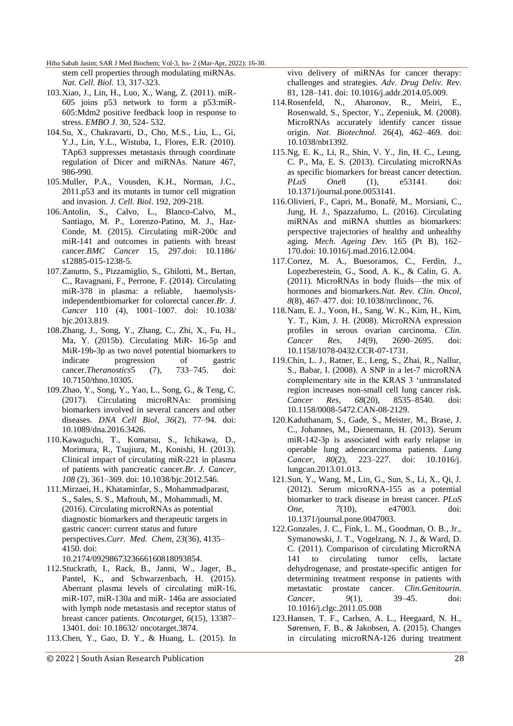stem cell properties through modulating miRNAs. *Nat. Cell. Biol*. 13, 317-323.

- 103.Xiao, J., Lin, H., Luo, X., Wang, Z. (2011). miR-605 joins p53 network to form a p53:miR-605:Mdm2 positive feedback loop in response to stress. *EMBO J*. 30, 524- 532.
- 104.Su, X., Chakravarti, D., Cho, M.S., Liu, L., Gi, Y.J., Lin, Y.L., Wistuba, I., Flores, E.R. (2010). TAp63 suppresses metastasis through coordinate regulation of Dicer and miRNAs. Nature 467, 986-990.
- 105.Muller, P.A., Vousden, K.H., Norman, J.C., 2011.p53 and its mutants in tumor cell migration and invasion*. J. Cell. Biol*. 192, 209-218.
- 106.Antolin, S., Calvo, L., Blanco-Calvo, M., Santiago, M. P., Lorenzo-Patino, M. J., Haz-Conde, M. (2015). Circulating miR-200c and miR-141 and outcomes in patients with breast cancer.*BMC Cancer* 15, 297.doi: 10.1186/ s12885-015-1238-5.
- 107.Zanutto, S., Pizzamiglio, S., Ghilotti, M., Bertan, C., Ravagnani, F., Perrone, F. (2014). Circulating miR-378 in plasma: a reliable, haemolysisindependentbiomarker for colorectal cancer.*Br. J. Cancer* 110 (4), 1001–1007. doi: 10.1038/ bjc.2013.819.
- 108.Zhang, J., Song, Y., Zhang, C., Zhi, X., Fu, H., Ma, Y. (2015b). Circulating MiR- 16-5p and MiR-19b-3p as two novel potential biomarkers to indicate progression of gastric cancer.*Theranostics*5 (7), 733–745. doi: 10.7150/thno.10305.
- 109.Zhao, Y., Song, Y., Yao, L., Song, G., & Teng, C. (2017). Circulating microRNAs: promising biomarkers involved in several cancers and other diseases. *DNA Cell Biol*, *36*(2), 77–94. doi: 10.1089/dna.2016.3426.
- 110.Kawaguchi, T., Komatsu, S., Ichikawa, D., Morimura, R., Tsujiura, M., Konishi, H. (2013). Clinical impact of circulating miR-221 in plasma of patients with pancreatic cancer.*Br. J. Cancer, 108* (2), 361–369. doi: 10.1038/bjc.2012.546.
- 111.Mirzaei, H., Khataminfar, S., Mohammadparast, S., Sales, S. S., Maftouh, M., Mohammadi, M. (2016). Circulating microRNAs as potential diagnostic biomarkers and therapeutic targets in gastric cancer: current status and future perspectives.*Curr. Med. Chem, 23*(36), 4135– 4150. doi:

10.2174/0929867323666160818093854.

- 112.Stuckrath, I., Rack, B., Janni, W., Jager, B., Pantel, K., and Schwarzenbach, H. (2015). Aberrant plasma levels of circulating miR-16, miR-107, miR-130a and miR- 146a are associated with lymph node metastasis and receptor status of breast cancer patients. *Oncotarget, 6*(15), 13387– 13401. doi: 10.18632/ oncotarget.3874.
- 113.Chen, Y., Gao, D. Y., & Huang, L. (2015). In

vivo delivery of miRNAs for cancer therapy: challenges and strategies. *Adv. Drug Deliv. Rev.*  81, 128–141. doi: 10.1016/j.addr.2014.05.009.

- 114.Rosenfeld, N., Aharonov, R., Meiri, E., Rosenwald, S., Spector, Y., Zepeniuk, M. (2008). MicroRNAs accurately identify cancer tissue origin. *Nat. Biotechnol.* 26(4), 462–469. doi: 10.1038/nbt1392.
- 115.Ng, E. K., Li, R., Shin, V. Y., Jin, H. C., Leung, C. P., Ma, E. S. (2013). Circulating microRNAs as specific biomarkers for breast cancer detection. *PLoS One*8 (1), e53141. doi: 10.1371/journal.pone.0053141.
- 116.Olivieri, F., Capri, M., Bonafè, M., Morsiani, C., Jung, H. J., Spazzafumo, L. (2016). Circulating miRNAs and miRNA shuttles as biomarkers: perspective trajectories of healthy and unhealthy aging. *Mech. Ageing Dev.* 165 (Pt B), 162– 170.doi: 10.1016/j.mad.2016.12.004.
- 117.Cortez, M. A., Buesoramos, C., Ferdin, J., Lopezberestein, G., Sood, A. K., & Calin, G. A. (2011). MicroRNAs in body fluids—the mix of hormones and biomarkers.*Nat. Rev. Clin. Oncol, 8*(8), 467–477. doi: 10.1038/nrclinonc, 76.
- 118.Nam, E. J., Yoon, H., Sang, W. K., Kim, H., Kim, Y. T., Kim, J. H. (2008). MicroRNA expression profiles in serous ovarian carcinoma. *Clin. Cancer Res, 14*(9), 2690–2695. doi: 10.1158/1078-0432.CCR-07-1731.
- 119.Chin, L. J., Ratner, E., Leng, S., Zhai, R., Nallur, S., Babar, I. (2008). A SNP in a let-7 microRNA complementary site in the KRAS 3 'untranslated region increases non-small cell lung cancer risk. *Cancer Res, 68*(20), 8535–8540. doi: 10.1158/0008-5472.CAN-08-2129.
- 120.Kaduthanam, S., Gade, S., Meister, M., Brase, J. C., Johannes, M., Dienemann, H. (2013). Serum miR-142-3p is associated with early relapse in operable lung adenocarcinoma patients. *Lung Cancer, 80*(2), 223–227. doi: 10.1016/j. lungcan.2013.01.013.
- 121.Sun, Y., Wang, M., Lin, G., Sun, S., Li, X., Qi, J. (2012). Serum microRNA-155 as a potential biomarker to track disease in breast cancer. *PLoS One, 7*(10), e47003. doi: 10.1371/journal.pone.0047003.
- 122.Gonzales, J. C., Fink, L. M., Goodman, O. B., Jr., Symanowski, J. T., Vogelzang, N. J., & Ward, D. C. (2011). Comparison of circulating MicroRNA 141 to circulating tumor cells, lactate dehydrogenase, and prostate-specific antigen for determining treatment response in patients with metastatic prostate cancer. *Clin.Genitourin. Cancer, 9*(1), 39–45. doi: 10.1016/j.clgc.2011.05.008
- 123.Hansen, T. F., Carlsen, A. L., Heegaard, N. H., Sørensen, F. B., & Jakobsen, A. (2015). Changes in circulating microRNA-126 during treatment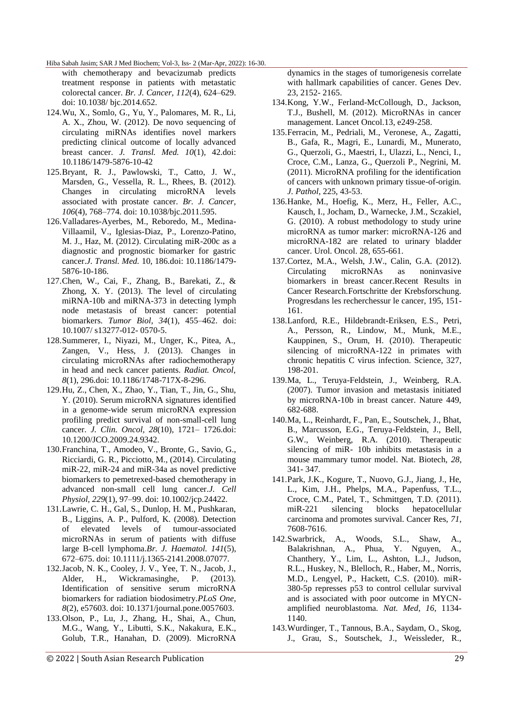with chemotherapy and bevacizumab predicts treatment response in patients with metastatic colorectal cancer. *Br. J. Cancer, 112*(4), 624–629. doi: 10.1038/ bjc.2014.652.

- 124.Wu, X., Somlo, G., Yu, Y., Palomares, M. R., Li, A. X., Zhou, W. (2012). De novo sequencing of circulating miRNAs identifies novel markers predicting clinical outcome of locally advanced breast cancer. *J. Transl. Med. 10*(1), 42.doi: 10.1186/1479-5876-10-42
- 125.Bryant, R. J., Pawlowski, T., Catto, J. W., Marsden, G., Vessella, R. L., Rhees, B. (2012). Changes in circulating microRNA levels associated with prostate cancer. *Br. J. Cancer, 106*(4), 768–774. doi: 10.1038/bjc.2011.595.
- 126.Valladares-Ayerbes, M., Reboredo, M., Medina-Villaamil, V., Iglesias-Diaz, P., Lorenzo-Patino, M. J., Haz, M. (2012). Circulating miR-200c as a diagnostic and prognostic biomarker for gastric cancer.*J. Transl. Med.* 10, 186.doi: 10.1186/1479- 5876-10-186.
- 127.Chen, W., Cai, F., Zhang, B., Barekati, Z., & Zhong, X. Y. (2013). The level of circulating miRNA-10b and miRNA-373 in detecting lymph node metastasis of breast cancer: potential biomarkers. *Tumor Biol, 34*(1), 455–462. doi: 10.1007/ s13277-012- 0570-5.
- 128.Summerer, I., Niyazi, M., Unger, K., Pitea, A., Zangen, V., Hess, J. (2013). Changes in circulating microRNAs after radiochemotherapy in head and neck cancer patients. *Radiat. Oncol, 8*(1), 296.doi: 10.1186/1748-717X-8-296.
- 129.Hu, Z., Chen, X., Zhao, Y., Tian, T., Jin, G., Shu, Y. (2010). Serum microRNA signatures identified in a genome-wide serum microRNA expression profiling predict survival of non-small-cell lung cancer. *J. Clin. Oncol, 28*(10), 1721– 1726.doi: 10.1200/JCO.2009.24.9342.
- 130.Franchina, T., Amodeo, V., Bronte, G., Savio, G., Ricciardi, G. R., Picciotto, M., (2014). Circulating miR-22, miR-24 and miR-34a as novel predictive biomarkers to pemetrexed-based chemotherapy in advanced non-small cell lung cancer.*J. Cell Physiol, 229*(1), 97–99. doi: 10.1002/jcp.24422.
- 131.Lawrie, C. H., Gal, S., Dunlop, H. M., Pushkaran, B., Liggins, A. P., Pulford, K. (2008). Detection of elevated levels of tumour-associated microRNAs in serum of patients with diffuse large B-cell lymphoma.*Br. J. Haematol. 141*(5), 672–675. doi: 10.1111/j.1365-2141.2008.07077.
- 132.Jacob, N. K., Cooley, J. V., Yee, T. N., Jacob, J., Alder, H., Wickramasinghe, P. (2013). Identification of sensitive serum microRNA biomarkers for radiation biodosimetry.*PLoS One, 8*(2), e57603. doi: 10.1371/journal.pone.0057603.
- 133.Olson, P., Lu, J., Zhang, H., Shai, A., Chun, M.G., Wang, Y., Libutti, S.K., Nakakura, E.K., Golub, T.R., Hanahan, D. (2009). MicroRNA

dynamics in the stages of tumorigenesis correlate with hallmark capabilities of cancer. Genes Dev. 23, 2152- 2165.

- 134.Kong, Y.W., Ferland-McCollough, D., Jackson, T.J., Bushell, M. (2012). MicroRNAs in cancer management. Lancet Oncol.13, e249-258.
- 135.Ferracin, M., Pedriali, M., Veronese, A., Zagatti, B., Gafa, R., Magri, E., Lunardi, M., Munerato, G., Querzoli, G., Maestri, I., Ulazzi, L., Nenci, I., Croce, C.M., Lanza, G., Querzoli P., Negrini, M. (2011). MicroRNA profiling for the identification of cancers with unknown primary tissue-of-origin. *J. Pathol*, 225, 43-53.
- 136.Hanke, M., Hoefig, K., Merz, H., Feller, A.C., Kausch, I., Jocham, D., Warnecke, J.M., Sczakiel, G. (2010). A robust methodology to study urine microRNA as tumor marker: microRNA-126 and microRNA-182 are related to urinary bladder cancer. Urol. Oncol. 28, 655-661.
- 137.Cortez, M.A., Welsh, J.W., Calin, G.A. (2012). Circulating microRNAs as noninvasive biomarkers in breast cancer.Recent Results in Cancer Research.Fortschritte der Krebsforschung. Progresdans les recherchessur le cancer, 195, 151- 161.
- 138.Lanford, R.E., Hildebrandt-Eriksen, E.S., Petri, A., Persson, R., Lindow, M., Munk, M.E., Kauppinen, S., Orum, H. (2010). Therapeutic silencing of microRNA-122 in primates with chronic hepatitis C virus infection. Science, 327, 198-201.
- 139.Ma, L., Teruya-Feldstein, J., Weinberg, R.A. (2007). Tumor invasion and metastasis initiated by microRNA-10b in breast cancer. Nature 449, 682-688.
- 140.Ma, L., Reinhardt, F., Pan, E., Soutschek, J., Bhat, B., Marcusson, E.G., Teruya-Feldstein, J., Bell, G.W., Weinberg, R.A. (2010). Therapeutic silencing of miR- 10b inhibits metastasis in a mouse mammary tumor model. Nat. Biotech, *28*, 341- 347.
- 141.Park, J.K., Kogure, T., Nuovo, G.J., Jiang, J., He, L., Kim, J.H., Phelps, M.A., Papenfuss, T.L., Croce, C.M., Patel, T., Schmittgen, T.D. (2011). miR-221 silencing blocks hepatocellular carcinoma and promotes survival. Cancer Res, *71*, 7608-7616.
- 142.Swarbrick, A., Woods, S.L., Shaw, A., Balakrishnan, A., Phua, Y. Nguyen, A., Chanthery, Y., Lim, L., Ashton, L.J., Judson, R.L., Huskey, N., Blelloch, R., Haber, M., Norris, M.D., Lengyel, P., Hackett, C.S. (2010). miR-380-5p represses p53 to control cellular survival and is associated with poor outcome in MYCNamplified neuroblastoma. *Nat. Med*, *16*, 1134- 1140.
- 143.Wurdinger, T., Tannous, B.A., Saydam, O., Skog, J., Grau, S., Soutschek, J., Weissleder, R.,

© 2022 | South Asian Research Publication 29